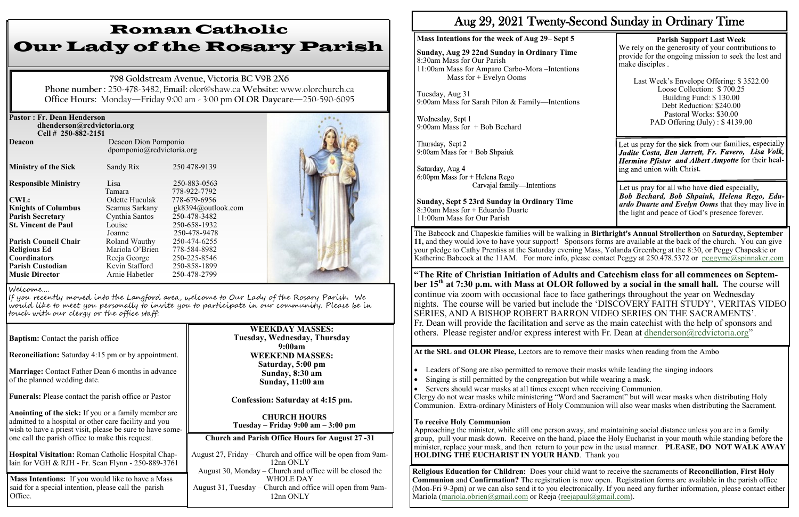| <b>Pastor: Fr. Dean Henderson</b><br>dhenderson@rcdvictoria.org<br>Cell # 250-882-2151 |                                                   |                              |  |
|----------------------------------------------------------------------------------------|---------------------------------------------------|------------------------------|--|
| <b>Deacon</b>                                                                          | Deacon Dion Pomponio<br>dpomponio@rcdvictoria.org |                              |  |
| <b>Ministry of the Sick</b>                                                            | Sandy Rix                                         | 250 478-9139                 |  |
| <b>Responsible Ministry</b>                                                            | Lisa<br>Tamara                                    | 250-883-0563<br>778-922-7792 |  |
| <b>CWL:</b>                                                                            | Odette Huculak                                    | 778-679-6956                 |  |
| <b>Knights of Columbus</b>                                                             | Seamus Sarkany                                    | gk8394@outlook.com           |  |
| <b>Parish Secretary</b>                                                                | Cynthia Santos                                    | 250-478-3482                 |  |
| <b>St. Vincent de Paul</b>                                                             | Louise                                            | 250-658-1932                 |  |
|                                                                                        | Joanne                                            | 250-478-9478                 |  |
| <b>Parish Council Chair</b>                                                            | Roland Wauthy                                     | 250-474-6255                 |  |
| <b>Religious Ed</b>                                                                    | Mariola O'Brien                                   | 778-584-8982                 |  |
| <b>Coordinators</b>                                                                    | Reeja George                                      | 250-225-8546                 |  |
| <b>Parish Custodian</b>                                                                | Kevin Stafford                                    | 250-858-1899                 |  |
| <b>Music Director</b>                                                                  | Arnie Habetler                                    | 250-478-2799                 |  |

**Reconciliation:** Saturday 4:15 pm or by appointment.

**Marriage:** Contact Father Dean 6 months in advance of the planned wedding date.

**Funerals:** Please contact the parish office or Pastor

**Anointing of the sick:** If you or a family member are admitted to a hospital or other care facility and you wish to have a priest visit, please be sure to have someone call the parish office to make this request.

**Hospital Visitation:** Roman Catholic Hospital Chaplain for VGH & RJH - Fr. Sean Flynn - 250-889-3761

# Roman Catholic Our Lady of the Rosary Parish

Wednesday, Sept 1 9:00am Mass for + Bob Bechard

Thursday, Sept 2 9:00am Mass for  $+$  Bob Shpaiuk

Saturday, Aug 4  $6:00$ pm Mass for + Helena Rego Carvajal family-Intentions

**798 Goldstream Avenue, Victoria BC V9B 2X6 Phone number :** 250-478-3482, **Email:** olor@shaw.ca **Website:** www.olorchurch.ca **Office Hours:** Monday—Friday 9:00 am - 3:00 pm **OLOR Daycare**—250-590-6095

Last Week's Envelope Offering: \$ 3522.00 Loose Collection: \$ 700.25 Building Fund: \$ 130.00 Debt Reduction: \$240.00 Pastoral Works: \$30.00 PAD Offering (July) : \$4139.00

Let us pray for the **sick** from our families, especially Judite Costa, Ben Jarrett, Fr. Favero, Lisa Volk, Hermine Pfister and Albert Amyotte for their healing and union with Christ.

#### **WEEKDAY MASSES: Tuesday, Wednesday, Thursday 9:00am WEEKEND MASSES: Saturday, 5:00 pm Sunday, 8:30 am Sunday, 11:00 am**

The Babcock and Chapeskie families will be walking in **Birthright's Annual Strollerthon** on **Saturday, September 11,** and they would love to have your support! Sponsors forms are available at the back of the church. You can give your pledge to Cathy Prentiss at the Saturday evening Mass, Yolanda Greenberg at the 8:30, or Peggy Chapeskie or Katherine Babcock at the 11AM. For more info, please contact Peggy at 250.478.5372 or  $peggymc@spinnaker.com$ 

**Confession: Saturday at 4:15 pm.**

**CHURCH HOURS Tuesday – Friday 9:00 am – 3:00 pm**

#### Welcome….

If you recently moved into the Langford area, welcome to Our Lady of the Rosary Parish. We would like to meet you personally to invite you to participate in our community. Please be in touch with our clergy or the office staff:

**Baptism:** Contact the parish office

**Church and Parish Office Hours for August 27 -31** 

August 27, Friday – Church and office will be open from 9am-12nn ONLY August 30, Monday – Church and office will be closed the WHOLE DAY August 31, Tuesday – Church and office will open from 9am-12nn ONLY

**Mass Intentions:** If you would like to have a Mass said for a special intention, please call the parish Office.

• Leaders of Song are also permitted to remove their masks while leading the singing indoors • Singing is still permitted by the congregation but while wearing a mask.

## Aug 29, 2021 Twenty-Second Sunday in Ordinary Time

#### **Mass Intentions for the week of Aug 29– Sept 5**

**Sunday, Aug 29 22nd Sunday in Ordinary Time** 8:30am Mass for Our Parish 11:00am Mass for Amparo Carbo-Mora –Intentions Mass for + Evelyn Ooms

Tuesday, Aug 31 9:00am Mass for Sarah Pilon & Family—Intentions

**Religious Education for Children:** Does your child want to receive the sacraments of **Reconciliation**, **First Holy Communion** and **Confirmation?** The registration is now open. Registration forms are available in the parish office (Mon-Fri 9-3pm) or we can also send it to you electronically. If you need any further information, please contact either Mariola (mariola.obrien@gmail.com or Reeja (reejapaul@gmail.com).

**Sunday, Sept 5 23rd Sunday in Ordinary Time** 8:30am Mass for + Eduardo Duarte 11:00am Mass for Our Parish

**Parish Support Last Week**  We rely on the generosity of your contributions to provide for the ongoing mission to seek the lost and make disciples .

Let us pray for all who have **died** especially*, Bob Bechard, Bob Shpaiuk, Helena Rego, Eduardo Duarte and Evelyn Ooms* that they may live in the light and peace of God's presence forever.

**"The Rite of Christian Initiation of Adults and Catechism class for all commences on September 15th at 7:30 p.m. with Mass at OLOR followed by a social in the small hall.** The course will continue via zoom with occasional face to face gatherings throughout the year on Wednesday nights. The course will be varied but include the 'DISCOVERY FAITH STUDY', VERITAS VIDEO SERIES, AND A BISHOP ROBERT BARRON VIDEO SERIES ON THE SACRAMENTS'. Fr. Dean will provide the facilitation and serve as the main catechist with the help of sponsors and others. Please register and/or express interest with Fr. Dean at dhenderson@rcdvictoria.org"

**At the SRL and OLOR Please,** Lectors are to remove their masks when reading from the Ambo

• Servers should wear masks at all times except when receiving Communion. Clergy do not wear masks while ministering "Word and Sacrament" but will wear masks when distributing Holy Communion. Extra-ordinary Ministers of Holy Communion will also wear masks when distributing the Sacrament.

#### **To receive Holy Communion**

Approaching the minister, while still one person away, and maintaining social distance unless you are in a family group, pull your mask down. Receive on the hand, place the Holy Eucharist in your mouth while standing before the minister, replace your mask, and then return to your pew in the usual manner. **PLEASE, DO NOT WALK AWAY HOLDING THE EUCHARIST IN YOUR HAND**. Thank you